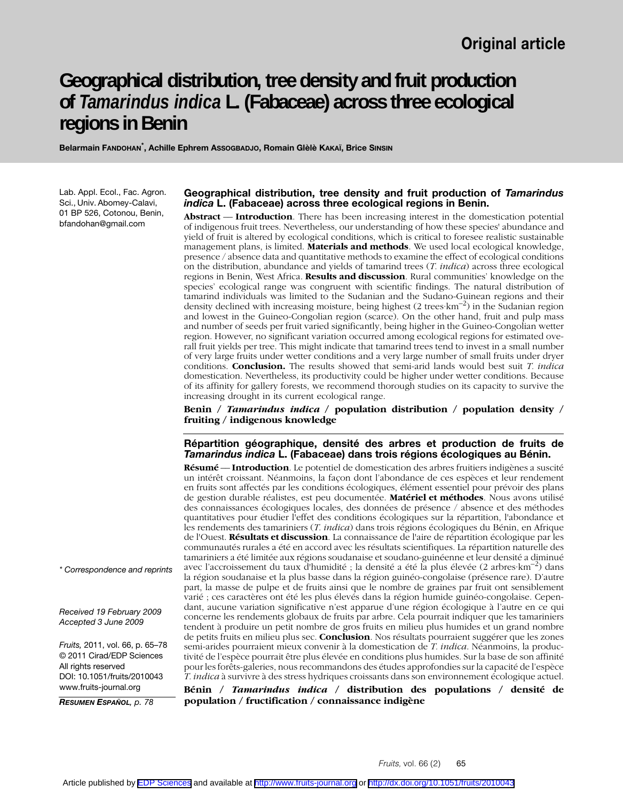# **Geographical distribution, tree density and fruit production of** *Tamarindus indica* **L. (Fabaceae) across three ecological regions in Benin**

**Belarmain FANDOHAN\* , Achille Ephrem ASSOGBADJO, Romain Glèlè KAKAÏ, Brice SINSIN**

Lab. Appl. Ecol., Fac. Agron. Sci., Univ. Abomey-Calavi, 01 BP 526, Cotonou, Benin, bfandohan@gmail.com

### **Geographical distribution, tree density and fruit production of** *Tamarindus indica* **L. (Fabaceae) across three ecological regions in Benin.**

**Abstract** –– **Introduction**. There has been increasing interest in the domestication potential of indigenous fruit trees. Nevertheless, our understanding of how these species' abundance and yield of fruit is altered by ecological conditions, which is critical to foresee realistic sustainable management plans, is limited. **Materials and methods**. We used local ecological knowledge, presence / absence data and quantitative methods to examine the effect of ecological conditions on the distribution, abundance and yields of tamarind trees (*T. indica*) across three ecological regions in Benin, West Africa. **Results and discussion**. Rural communities' knowledge on the species' ecological range was congruent with scientific findings. The natural distribution of tamarind individuals was limited to the Sudanian and the Sudano-Guinean regions and their density declined with increasing moisture, being highest (2 trees  $km^{-2}$ ) in the Sudanian region and lowest in the Guineo-Congolian region (scarce). On the other hand, fruit and pulp mass and number of seeds per fruit varied significantly, being higher in the Guineo-Congolian wetter region. However, no significant variation occurred among ecological regions for estimated overall fruit yields per tree. This might indicate that tamarind trees tend to invest in a small number of very large fruits under wetter conditions and a very large number of small fruits under dryer conditions. **Conclusion.** The results showed that semi-arid lands would best suit *T. indica* domestication. Nevertheless, its productivity could be higher under wetter conditions. Because of its affinity for gallery forests, we recommend thorough studies on its capacity to survive the increasing drought in its current ecological range.

**Benin /** *Tamarindus indica* **/ population distribution / population density / fruiting / indigenous knowledge**

**Répartition géographique, densité des arbres et production de fruits de**  *Tamarindus indica* **L. (Fabaceae) dans trois régions écologiques au Bénin.**

**Résumé** –– **Introduction**. Le potentiel de domestication des arbres fruitiers indigènes a suscité un intérêt croissant. Néanmoins, la façon dont l'abondance de ces espèces et leur rendement en fruits sont affectés par les conditions écologiques, élément essentiel pour prévoir des plans de gestion durable réalistes, est peu documentée. **Matériel et méthodes**. Nous avons utilisé des connaissances écologiques locales, des données de présence / absence et des méthodes quantitatives pour étudier l'effet des conditions écologiques sur la répartition, l'abondance et les rendements des tamariniers (*T. indica*) dans trois régions écologiques du Bénin, en Afrique de l'Ouest. **Résultats et discussion**. La connaissance de l'aire de répartition écologique par les communautés rurales a été en accord avec les résultats scientifiques. La répartition naturelle des tamariniers a été limitée aux régions soudanaise et soudano-guinéenne et leur densité a diminué avec l'accroissement du taux d'humidité ; la densité a été la plus élevée (2 arbres·km–2) dans la région soudanaise et la plus basse dans la région guinéo-congolaise (présence rare). D'autre part, la masse de pulpe et de fruits ainsi que le nombre de graines par fruit ont sensiblement varié ; ces caractères ont été les plus élevés dans la région humide guinéo-congolaise. Cependant, aucune variation significative n'est apparue d'une région écologique à l'autre en ce qui concerne les rendements globaux de fruits par arbre. Cela pourrait indiquer que les tamariniers tendent à produire un petit nombre de gros fruits en milieu plus humides et un grand nombre de petits fruits en milieu plus sec. **Conclusion**. Nos résultats pourraient suggérer que les zones semi-arides pourraient mieux convenir à la domestication de *T. indica*. Néanmoins, la productivité de l'espèce pourrait être plus élevée en conditions plus humides. Sur la base de son affinité pour les forêts-galeries, nous recommandons des études approfondies sur la capacité de l'espèce *T. indica* à survivre à des stress hydriques croissants dans son environnement écologique actuel.

**Bénin /** *Tamarindus indica* **/ distribution des populations / densité de population / fructification / connaissance indigène**

*\* Correspondence and reprints*

*Received 19 February 2009 Accepted 3 June 2009*

*Fruits,* 2011, vol. 66, p. 65–78 © 2011 Cirad/EDP Sciences All rights reserved DOI: 10.1051/fruits/2010043 www.fruits-journal.org

*RESUMEN ESPAÑOL, p. 78*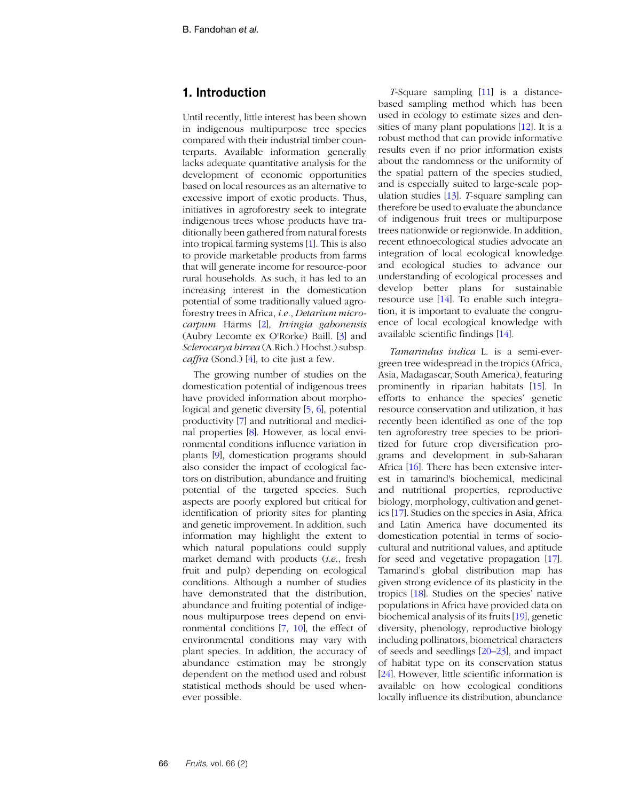# **1. Introduction**

Until recently, little interest has been shown in indigenous multipurpose tree species compared with their industrial timber counterparts. Available information generally lacks adequate quantitative analysis for the development of economic opportunities based on local resources as an alternative to excessive import of exotic products. Thus, initiatives in agroforestry seek to integrate indigenous trees whose products have traditionally been gathered from natural forests into tropical farming systems [\[1](#page-11-0)]. This is also to provide marketable products from farms that will generate income for resource-poor rural households. As such, it has led to an increasing interest in the domestication potential of some traditionally valued agroforestry trees in Africa, *i.e.*, *Detarium microcarpum* Harms [[2](#page-11-1)], *Irvingia gabonensis* (Aubry Lecomte ex O'Rorke) Baill. [\[3\]](#page-11-2) and *Sclerocarya birrea* (A.Rich.) Hochst.) subsp. *caffra* (Sond.) [\[4\]](#page-11-3), to cite just a few.

The growing number of studies on the domestication potential of indigenous trees have provided information about morphological and genetic diversity [\[5](#page-11-4), [6\]](#page-11-5), potential productivity [\[7](#page-11-6)] and nutritional and medicinal properties [[8\]](#page-11-7). However, as local environmental conditions influence variation in plants [\[9\]](#page-11-8), domestication programs should also consider the impact of ecological factors on distribution, abundance and fruiting potential of the targeted species. Such aspects are poorly explored but critical for identification of priority sites for planting and genetic improvement. In addition, such information may highlight the extent to which natural populations could supply market demand with products (*i*.*e*., fresh fruit and pulp) depending on ecological conditions. Although a number of studies have demonstrated that the distribution, abundance and fruiting potential of indigenous multipurpose trees depend on environmental conditions [[7](#page-11-6), [10\]](#page-11-9), the effect of environmental conditions may vary with plant species. In addition, the accuracy of abundance estimation may be strongly dependent on the method used and robust statistical methods should be used whenever possible.

*T*-Square sampling [[11](#page-11-10)] is a distancebased sampling method which has been used in ecology to estimate sizes and densities of many plant populations [[12](#page-11-11)]. It is a robust method that can provide informative results even if no prior information exists about the randomness or the uniformity of the spatial pattern of the species studied, and is especially suited to large-scale population studies [[13](#page-11-12)]. *T*-square sampling can therefore be used to evaluate the abundance of indigenous fruit trees or multipurpose trees nationwide or regionwide. In addition, recent ethnoecological studies advocate an integration of local ecological knowledge and ecological studies to advance our understanding of ecological processes and develop better plans for sustainable resource use [\[14\]](#page-11-13). To enable such integration, it is important to evaluate the congruence of local ecological knowledge with available scientific findings [[14](#page-11-13)].

*Tamarindus indica* L. is a semi-evergreen tree widespread in the tropics (Africa, Asia, Madagascar, South America), featuring prominently in riparian habitats [\[15\]](#page-11-14). In efforts to enhance the species' genetic resource conservation and utilization, it has recently been identified as one of the top ten agroforestry tree species to be prioritized for future crop diversification programs and development in sub-Saharan Africa [\[16\]](#page-11-15). There has been extensive interest in tamarind's biochemical, medicinal and nutritional properties, reproductive biology, morphology, cultivation and genetics [\[17\]](#page-11-16). Studies on the species in Asia, Africa and Latin America have documented its domestication potential in terms of sociocultural and nutritional values, and aptitude for seed and vegetative propagation [[17](#page-11-16)]. Tamarind's global distribution map has given strong evidence of its plasticity in the tropics [[18](#page-11-17)]. Studies on the species' native populations in Africa have provided data on biochemical analysis of its fruits [[19](#page-11-18)], genetic diversity, phenology, reproductive biology including pollinators, biometrical characters of seeds and seedlings [[20](#page-11-19)–[23\]](#page-12-0), and impact of habitat type on its conservation status [[24](#page-12-1)]. However, little scientific information is available on how ecological conditions locally influence its distribution, abundance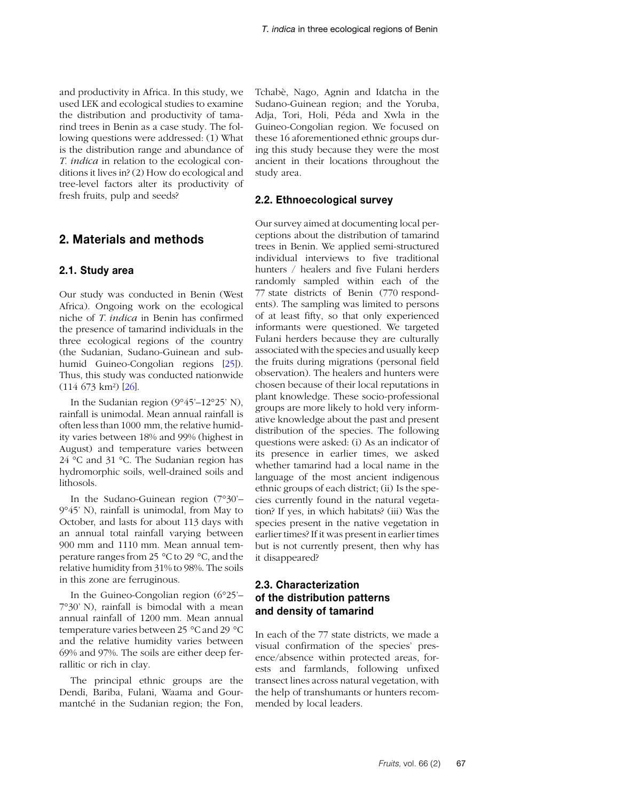and productivity in Africa. In this study, we used LEK and ecological studies to examine the distribution and productivity of tamarind trees in Benin as a case study. The following questions were addressed: (1) What is the distribution range and abundance of *T. indica* in relation to the ecological conditions it lives in? (2) How do ecological and tree-level factors alter its productivity of fresh fruits, pulp and seeds?

## **2. Materials and methods**

### **2.1. Study area**

Our study was conducted in Benin (West Africa). Ongoing work on the ecological niche of *T. indica* in Benin has confirmed the presence of tamarind individuals in the three ecological regions of the country (the Sudanian, Sudano-Guinean and subhumid Guineo-Congolian regions [[25](#page-12-2)]). Thus, this study was conducted nationwide (114 673 km²) [\[26\]](#page-12-3).

In the Sudanian region (9°45'–12°25' N), rainfall is unimodal. Mean annual rainfall is often less than 1000 mm, the relative humidity varies between 18% and 99% (highest in August) and temperature varies between 24 °C and 31 °C. The Sudanian region has hydromorphic soils, well-drained soils and lithosols.

In the Sudano-Guinean region (7°30'– 9°45' N), rainfall is unimodal, from May to October, and lasts for about 113 days with an annual total rainfall varying between 900 mm and 1110 mm. Mean annual temperature ranges from 25 °C to 29 °C, and the relative humidity from 31% to 98%. The soils in this zone are ferruginous.

In the Guineo-Congolian region (6°25'– 7°30' N), rainfall is bimodal with a mean annual rainfall of 1200 mm. Mean annual temperature varies between 25 °C and 29 °C and the relative humidity varies between 69% and 97%. The soils are either deep ferrallitic or rich in clay.

The principal ethnic groups are the Dendi, Bariba, Fulani, Waama and Gourmantché in the Sudanian region; the Fon, Tchabè, Nago, Agnin and Idatcha in the Sudano-Guinean region; and the Yoruba, Adja, Tori, Holi, Péda and Xwla in the Guineo-Congolian region. We focused on these 16 aforementioned ethnic groups during this study because they were the most ancient in their locations throughout the study area.

### **2.2. Ethnoecological survey**

Our survey aimed at documenting local perceptions about the distribution of tamarind trees in Benin. We applied semi-structured individual interviews to five traditional hunters / healers and five Fulani herders randomly sampled within each of the 77 state districts of Benin (770 respondents). The sampling was limited to persons of at least fifty, so that only experienced informants were questioned. We targeted Fulani herders because they are culturally associated with the species and usually keep the fruits during migrations (personal field observation). The healers and hunters were chosen because of their local reputations in plant knowledge. These socio-professional groups are more likely to hold very informative knowledge about the past and present distribution of the species. The following questions were asked: (i) As an indicator of its presence in earlier times, we asked whether tamarind had a local name in the language of the most ancient indigenous ethnic groups of each district; (ii) Is the species currently found in the natural vegetation? If yes, in which habitats? (iii) Was the species present in the native vegetation in earlier times? If it was present in earlier times but is not currently present, then why has it disappeared?

## **2.3. Characterization of the distribution patterns and density of tamarind**

In each of the 77 state districts, we made a visual confirmation of the species' presence/absence within protected areas, forests and farmlands, following unfixed transect lines across natural vegetation, with the help of transhumants or hunters recommended by local leaders.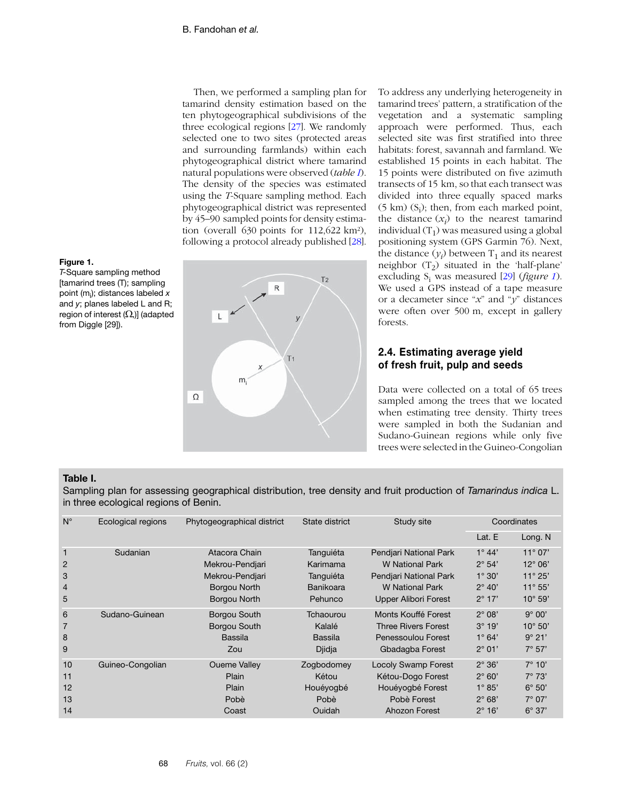Then, we performed a sampling plan for tamarind density estimation based on the ten phytogeographical subdivisions of the three ecological regions [[27](#page-12-4)]. We randomly selected one to two sites (protected areas and surrounding farmlands) within each phytogeographical district where tamarind natural populations were observed (*table I*). The density of the species was estimated using the *T*-Square sampling method. Each phytogeographical district was represented by 45–90 sampled points for density estimation (overall 630 points for 112,622 km²), following a protocol already published [[28](#page-12-5)].



To address any underlying heterogeneity in tamarind trees' pattern, a stratification of the vegetation and a systematic sampling approach were performed. Thus, each selected site was first stratified into three habitats: forest, savannah and farmland. We established 15 points in each habitat. The 15 points were distributed on five azimuth transects of 15 km, so that each transect was divided into three equally spaced marks  $(5 \text{ km})$   $(S_i)$ ; then, from each marked point, the distance  $(x_i)$  to the nearest tamarind individual  $(T_1)$  was measured using a global positioning system (GPS Garmin 76). Next, the distance  $(y_i)$  between  $T_1$  and its nearest neighbor  $(T_2)$  situated in the 'half-plane' excluding  $S_i$  was measured [\[29\]](#page-12-6) (*figure 1*). We used a GPS instead of a tape measure or a decameter since "*x*" and "*y*" distances were often over 500 m, except in gallery forests.

## **2.4. Estimating average yield of fresh fruit, pulp and seeds**

Data were collected on a total of 65 trees sampled among the trees that we located when estimating tree density. Thirty trees were sampled in both the Sudanian and Sudano-Guinean regions while only five trees were selected in the Guineo-Congolian

### **Table I.**

**Figure 1.**

from Diggle [29]).

*T*-Square sampling method [tamarind trees (T); sampling point (mi ); distances labeled *x* and *y*; planes labeled L and R; region of interest  $(\Omega_i)$ ] (adapted

Sampling plan for assessing geographical distribution, tree density and fruit production of *Tamarindus indica* L. in three ecological regions of Benin.

| $N^{\circ}$                                                | Ecological regions | Phytogeographical district                                                          | State district                                             | Study site                                                                                                            | Coordinates                                                                               |                                                                                                 |
|------------------------------------------------------------|--------------------|-------------------------------------------------------------------------------------|------------------------------------------------------------|-----------------------------------------------------------------------------------------------------------------------|-------------------------------------------------------------------------------------------|-------------------------------------------------------------------------------------------------|
|                                                            |                    |                                                                                     |                                                            |                                                                                                                       | Lat. E                                                                                    | Long. N                                                                                         |
| $\mathbf{1}$<br>$\overline{2}$<br>3<br>$\overline{4}$<br>5 | Sudanian           | Atacora Chain<br>Mekrou-Pendjari<br>Mekrou-Pendjari<br>Borgou North<br>Borgou North | Tanguiéta<br>Karimama<br>Tanguiéta<br>Banikoara<br>Pehunco | Pendjari National Park<br><b>W</b> National Park<br>Pendjari National Park<br>W National Park<br>Upper Alibori Forest | $1^{\circ} 44'$<br>$2^{\circ} 54'$<br>$1^\circ 30'$<br>$2^{\circ}$ 40'<br>$2^{\circ}$ 17' | $11^{\circ} 07'$<br>$12^{\circ}06'$<br>$11^{\circ} 25'$<br>$11^{\circ} 55'$<br>$10^{\circ} 59'$ |
| 6<br>8<br>9                                                | Sudano-Guinean     | <b>Borgou South</b><br>Borgou South<br>Bassila<br>Zou                               | Tchaourou<br>Kalalé<br>Bassila<br>Djidja                   | Monts Kouffé Forest<br><b>Three Rivers Forest</b><br>Penessoulou Forest<br>Gbadagba Forest                            | $2^{\circ}$ 08'<br>$3^\circ 19'$<br>$1^{\circ} 64'$<br>$2^{\circ}$ 01'                    | $9^\circ 00'$<br>$10^{\circ} 50'$<br>$9^\circ 21'$<br>$7^{\circ} 57'$                           |
| 10<br>11<br>12<br>13<br>14                                 | Guineo-Congolian   | <b>Oueme Valley</b><br>Plain<br>Plain<br>Pobè<br>Coast                              | Zogbodomey<br>Kétou<br>Houéyogbé<br>Pobè<br>Ouidah         | <b>Locoly Swamp Forest</b><br>Kétou-Dogo Forest<br>Houéyogbé Forest<br>Pobè Forest<br>Ahozon Forest                   | $2^\circ 36'$<br>$2^{\circ}$ 60'<br>$1^{\circ} 85'$<br>$2^\circ$ 68'<br>$2^\circ$ 16'     | $7^\circ$ 10'<br>$7^\circ$ 73'<br>$6^\circ 50'$<br>$7^\circ 07'$<br>$6^\circ 37'$               |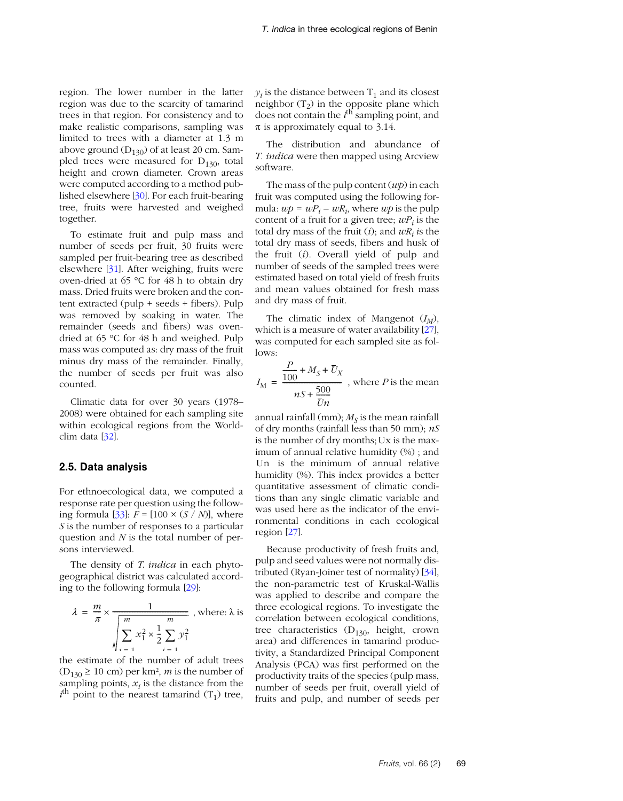region. The lower number in the latter region was due to the scarcity of tamarind trees in that region. For consistency and to make realistic comparisons, sampling was limited to trees with a diameter at 1.3 m above ground  $(D_{130})$  of at least 20 cm. Sampled trees were measured for  $D_{130}$ , total height and crown diameter. Crown areas were computed according to a method published elsewhere [[30](#page-12-9)]. For each fruit-bearing tree, fruits were harvested and weighed together.

To estimate fruit and pulp mass and number of seeds per fruit, 30 fruits were sampled per fruit-bearing tree as described elsewhere [[31](#page-12-7)]. After weighing, fruits were oven-dried at 65 °C for 48 h to obtain dry mass. Dried fruits were broken and the content extracted (pulp + seeds + fibers). Pulp was removed by soaking in water. The remainder (seeds and fibers) was ovendried at 65 °C for 48 h and weighed. Pulp mass was computed as: dry mass of the fruit minus dry mass of the remainder. Finally, the number of seeds per fruit was also counted.

Climatic data for over 30 years (1978– 2008) were obtained for each sampling site within ecological regions from the Worldclim data [\[32\]](#page-12-10).

### **2.5. Data analysis**

For ethnoecological data, we computed a response rate per question using the follow-ing formula [[33](#page-12-11)]:  $F = [100 \times (S / N)]$ , where *S* is the number of responses to a particular question and *N* is the total number of persons interviewed.

The density of *T*. *indica* in each phytogeographical district was calculated according to the following formula [[29](#page-12-6)]:

$$
\lambda = \frac{m}{\pi} \times \frac{1}{\sqrt{\sum_{i=1}^{m} x_i^2 \times \frac{1}{2} \sum_{i=1}^{m} y_i^2}}, \text{ where: } \lambda \text{ is}
$$

the estimate of the number of adult trees  $(D_{130} \ge 10 \text{ cm})$  per km<sup>2</sup>, *m* is the number of sampling points,  $x_i$  is the distance from the  $i$ <sup>th</sup> point to the nearest tamarind  $(T_1)$  tree,  $y_i$  is the distance between  $T_1$  and its closest neighbor  $(T_2)$  in the opposite plane which does not contain the *i*<sup>th</sup> sampling point, and  $\pi$  is approximately equal to 3.14.

The distribution and abundance of *T. indica* were then mapped using Arcview software.

The mass of the pulp content (*wp*) in each fruit was computed using the following formula:  $wp = wP_i - wR_i$ , where  $wp$  is the pulp content of a fruit for a given tree;  $wP_i$  is the total dry mass of the fruit  $(i)$ ; and  $wR_i$  is the total dry mass of seeds, fibers and husk of the fruit (*i*). Overall yield of pulp and number of seeds of the sampled trees were estimated based on total yield of fresh fruits and mean values obtained for fresh mass and dry mass of fruit.

The climatic index of Mangenot  $(I_M)$ , which is a measure of water availability [\[27\]](#page-12-4), was computed for each sampled site as follows:

$$
I_{\text{M}} = \frac{\frac{P}{100} + M_{S} + \overline{U}_{X}}{nS + \frac{500}{\overline{U}n}}
$$
, where *P* is the mean

annual rainfall (mm);  $M<sub>S</sub>$  is the mean rainfall of dry months (rainfall less than 50 mm); *nS* is the number of dry months;Ux is the maximum of annual relative humidity (%) ; and Un is the minimum of annual relative humidity (%). This index provides a better quantitative assessment of climatic conditions than any single climatic variable and was used here as the indicator of the environmental conditions in each ecological region [\[27\]](#page-12-4).

Because productivity of fresh fruits and, pulp and seed values were not normally distributed (Ryan-Joiner test of normality) [\[34\]](#page-12-8), the non-parametric test of Kruskal-Wallis was applied to describe and compare the three ecological regions. To investigate the correlation between ecological conditions, tree characteristics  $(D_{130}$ , height, crown area) and differences in tamarind productivity, a Standardized Principal Component Analysis (PCA) was first performed on the productivity traits of the species (pulp mass, number of seeds per fruit, overall yield of fruits and pulp, and number of seeds per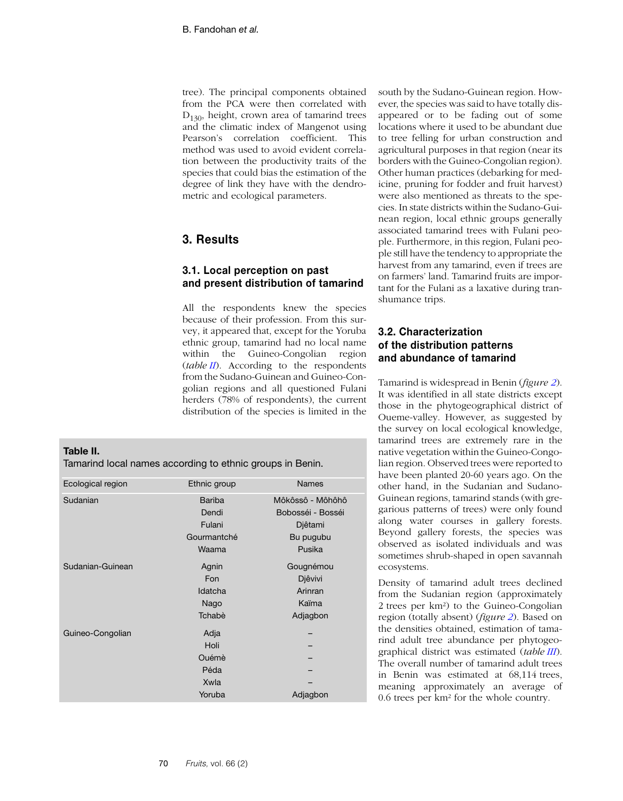tree). The principal components obtained from the PCA were then correlated with  $D_{130}$ , height, crown area of tamarind trees and the climatic index of Mangenot using Pearson's correlation coefficient. This method was used to avoid evident correlation between the productivity traits of the species that could bias the estimation of the degree of link they have with the dendrometric and ecological parameters.

# **3. Results**

## **3.1. Local perception on past and present distribution of tamarind**

All the respondents knew the species because of their profession. From this survey, it appeared that, except for the Yoruba ethnic group, tamarind had no local name within the Guineo-Congolian region (*table II*[\). According to the respondents](http://biogeo.berkeley.edu/) [from the Sudano-Guinean and Guineo-Con](http://biogeo.berkeley.edu/)golian regions and all questioned Fulani herders (78% of respondents), the current distribution of the species is limited in the

**Table II.**

Tamarind local names according to ethnic groups in Benin.

| Ecological region | Ethnic group  | <b>Names</b>      |
|-------------------|---------------|-------------------|
| Sudanian          | <b>Bariba</b> | Môkôssô - Môhôhô  |
|                   | Dendi         | Bobosséi - Bosséi |
|                   | Fulani        | Djêtami           |
|                   | Gourmantché   | Bu pugubu         |
|                   | Waama         | Pusika            |
| Sudanian-Guinean  | Agnin         | Gougnémou         |
|                   | Fon           | Djêvivi           |
|                   | Idatcha       | Arinran           |
|                   | Nago          | Kaïma             |
|                   | Tchabè        | Adjagbon          |
| Guineo-Congolian  | Adja          |                   |
|                   | Holi          |                   |
|                   | Ouémè         |                   |
|                   | Péda          |                   |
|                   | Xwla          |                   |
|                   | Yoruba        | Adjagbon          |

south by the Sudano-Guinean region. However, the species was said to have totally disappeared or to be fading out of some locations where it used to be abundant due to tree felling for urban construction and agricultural purposes in that region (near its borders with the Guineo-Congolian region). Other human practices (debarking for medicine, pruning for fodder and fruit harvest) were also mentioned as threats to the species. In state districts within the Sudano-Guinean region, local ethnic groups generally associated tamarind trees with Fulani people. Furthermore, in this region, Fulani people still have the tendency to appropriate the harvest from any tamarind, even if trees are [on farmers' land. Tamarind fruits are impor](http://biogeo.berkeley.edu/)tant for the Fulani as a laxative during transhumance trips.

# **3.2. Characterization of the distribution patterns and abundance of tamarind**

Tamarind is widespread in Benin (*figure [2](#page-6-0)*). It was identified in all state districts except those in the phytogeographical district of Oueme-valley. However, as suggested by the survey on local ecological knowledge, tamarind trees are extremely rare in the native vegetation within the Guineo-Congolian region. Observed trees were reported to have been planted 20-60 years ago. On the other hand, in the Sudanian and Sudano-Guinean regions, tamarind stands (with gregarious patterns of trees) were only found along water courses in gallery forests. Beyond gallery forests, the species was observed as isolated individuals and was sometimes shrub-shaped in open savannah ecosystems.

Density of tamarind adult trees declined from the Sudanian region (approximately 2 trees per km²) to the Guineo-Congolian region (totally absent) (*figure [2](#page-6-0)*). Based on the densities obtained, estimation of tamarind adult tree abundance per phytogeographical district was estimated (*table [III](#page-7-0)*). The overall number of tamarind adult trees in Benin was estimated at 68,114 trees, meaning approximately an average of 0.6 trees per km² for the whole country.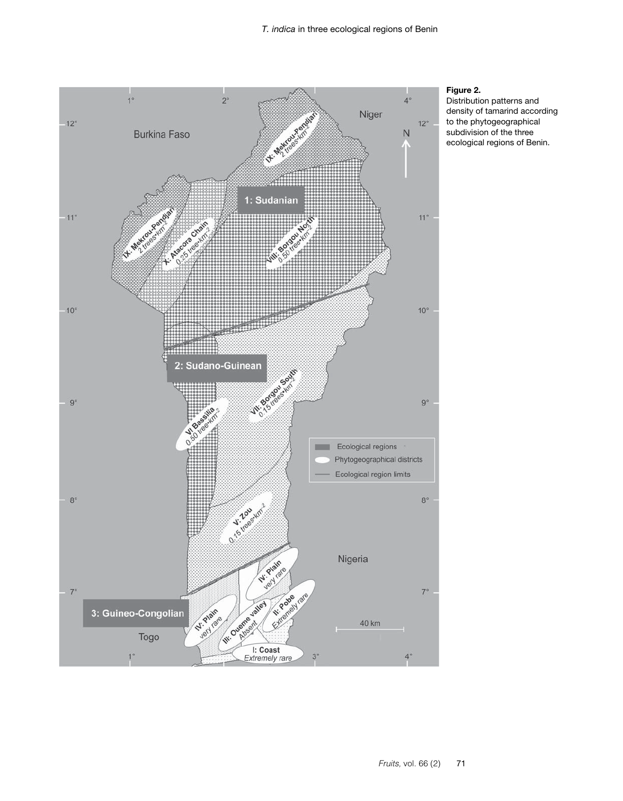<span id="page-6-0"></span>

# **Figure 2.**

Distribution patterns and density of tamarind according to the phytogeographical subdivision of the three ecological regions of Benin.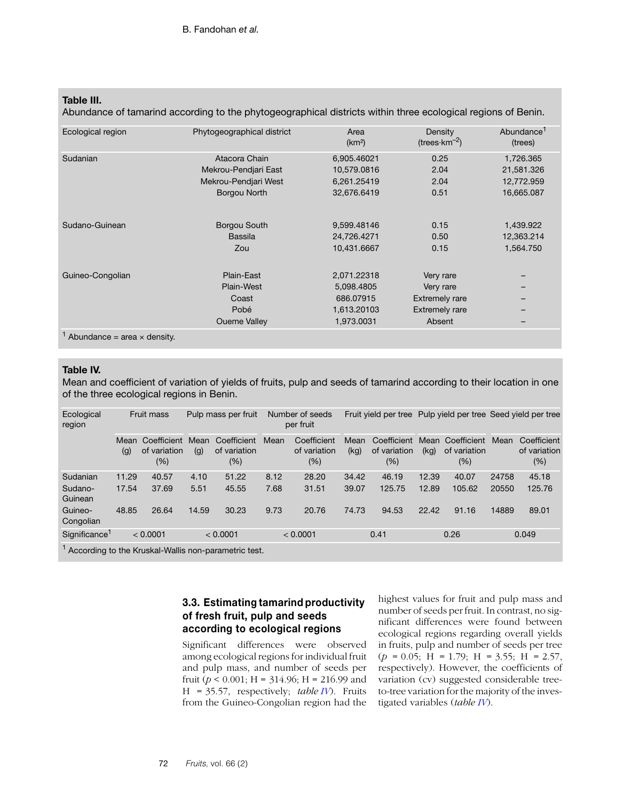## <span id="page-7-0"></span>**Table III.**

Abundance of tamarind according to the phytogeographical districts within three ecological regions of Benin.

| Ecological region                               | Phytogeographical district | Area<br>(km <sup>2</sup> ) | Density<br>$(trees·km-2)$ | Abundance <sup>1</sup><br>(trees) |
|-------------------------------------------------|----------------------------|----------------------------|---------------------------|-----------------------------------|
| Sudanian                                        | Atacora Chain              | 6,905.46021                | 0.25                      | 1,726.365                         |
|                                                 | Mekrou-Pendjari East       | 10,579.0816                | 2.04                      | 21,581.326                        |
|                                                 | Mekrou-Pendjari West       | 6,261.25419                | 2.04                      | 12,772.959                        |
|                                                 | Borgou North               | 32,676.6419                | 0.51                      | 16,665.087                        |
|                                                 |                            |                            |                           |                                   |
| Sudano-Guinean                                  | Borgou South               | 9,599.48146                | 0.15                      | 1,439.922                         |
|                                                 | <b>Bassila</b>             | 24,726.4271                | 0.50                      | 12,363.214                        |
|                                                 | Zou                        | 10,431.6667                | 0.15                      | 1,564.750                         |
| Guineo-Congolian                                | Plain-East                 | 2,071.22318                | Very rare                 |                                   |
|                                                 | Plain-West                 | 5,098.4805                 | Very rare                 | -                                 |
|                                                 | Coast                      | 686.07915                  | <b>Extremely rare</b>     | -                                 |
|                                                 | Pobé                       | 1,613.20103                | <b>Extremely rare</b>     | -                                 |
|                                                 | <b>Oueme Valley</b>        | 1,973.0031                 | Absent                    | -                                 |
| <sup>1</sup> Abundance = area $\times$ density. |                            |                            |                           |                                   |

### **Table IV.**

Mean and coefficient of variation of yields of fruits, pulp and seeds of tamarind according to their location in one of the three ecological regions in Benin.

| Ecological<br>region                                  | <b>Fruit mass</b> |                                        | Pulp mass per fruit |                                       | Number of seeds<br>per fruit |                                       |              |                                    |              |                                    | Fruit yield per tree Pulp yield per tree Seed yield per tree |                                        |
|-------------------------------------------------------|-------------------|----------------------------------------|---------------------|---------------------------------------|------------------------------|---------------------------------------|--------------|------------------------------------|--------------|------------------------------------|--------------------------------------------------------------|----------------------------------------|
|                                                       | Mean<br>(g)       | Coefficient<br>of variation<br>$(\% )$ | Mean<br>(g)         | Coefficient<br>of variation<br>$(\%)$ | Mean                         | Coefficient<br>of variation<br>$(\%)$ | Mean<br>(kq) | Coefficient<br>of variation<br>(%) | Mean<br>(kq) | Coefficient<br>of variation<br>(%) | Mean                                                         | Coefficient<br>of variation<br>$(\% )$ |
| Sudanian                                              | 11.29             | 40.57                                  | 4.10                | 51.22                                 | 8.12                         | 28.20                                 | 34.42        | 46.19                              | 12.39        | 40.07                              | 24758                                                        | 45.18                                  |
| Sudano-<br>Guinean                                    | 17.54             | 37.69                                  | 5.51                | 45.55                                 | 7.68                         | 31.51                                 | 39.07        | 125.75                             | 12.89        | 105.62                             | 20550                                                        | 125.76                                 |
| Guineo-<br>Congolian                                  | 48.85             | 26.64                                  | 14.59               | 30.23                                 | 9.73                         | 20.76                                 | 74.73        | 94.53                              | 22.42        | 91.16                              | 14889                                                        | 89.01                                  |
| $S$ ignificance <sup>1</sup>                          |                   | < 0.0001                               |                     | < 0.0001                              |                              | < 0.0001                              |              | 0.41                               |              | 0.26                               |                                                              | 0.049                                  |
| 1 According to the Kruskal-Wallis non-parametric test |                   |                                        |                     |                                       |                              |                                       |              |                                    |              |                                    |                                                              |                                        |

<sup>1</sup> According to the Kruskal-Wallis non-parametric test.

# **3.3. Estimating tamarind productivity of fresh fruit, pulp and seeds according to ecological regions**

Significant differences were observed among ecological regions for individual fruit and pulp mass, and number of seeds per fruit ( $p < 0.001$ ; H = 314.96; H = 216.99 and H = 35.57, respectively; *table IV*). Fruits from the Guineo-Congolian region had the

highest values for fruit and pulp mass and number of seeds per fruit. In contrast, no significant differences were found between ecological regions regarding overall yields in fruits, pulp and number of seeds per tree  $(p = 0.05;$  H = 1.79; H = 3.55; H = 2.57, respectively). However, the coefficients of variation (cv) suggested considerable treeto-tree variation for the majority of the investigated variables (*table IV*).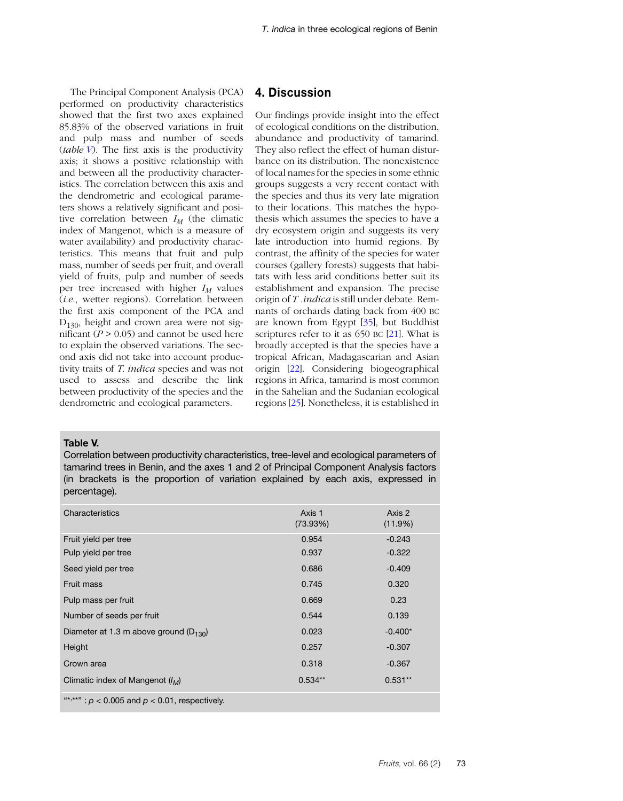The Principal Component Analysis (PCA) performed on productivity characteristics showed that the first two axes explained 85.83% of the observed variations in fruit and pulp mass and number of seeds (*table V*). The first axis is the productivity axis; it shows a positive relationship with and between all the productivity characteristics. The correlation between this axis and the dendrometric and ecological parameters shows a relatively significant and positive correlation between  $I_M$  (the climatic index of Mangenot, which is a measure of water availability) and productivity characteristics. This means that fruit and pulp mass, number of seeds per fruit, and overall yield of fruits, pulp and number of seeds per tree increased with higher  $I_M$  values (*i.e*., wetter regions). Correlation between the first axis component of the PCA and  $D_{130}$ , height and crown area were not significant  $(P > 0.05)$  and cannot be used here to explain the observed variations. The second axis did not take into account productivity traits of *T. indica* species and was not used to assess and describe the link between productivity of the species and the dendrometric and ecological parameters.

## **4. Discussion**

Our findings provide insight into the effect of ecological conditions on the distribution, abundance and productivity of tamarind. They also reflect the effect of human disturbance on its distribution. The nonexistence of local names for the species in some ethnic groups suggests a very recent contact with the species and thus its very late migration to their locations. This matches the hypothesis which assumes the species to have a dry ecosystem origin and suggests its very late introduction into humid regions. By contrast, the affinity of the species for water courses (gallery forests) suggests that habitats with less arid conditions better suit its establishment and expansion. The precise origin of *T .indica* is still under debate. Remnants of orchards dating back from 400 BC are known from Egypt [[35](#page-12-12)], but Buddhist scriptures refer to it as 650 BC [\[21\]](#page-11-20). What is broadly accepted is that the species have a tropical African, Madagascarian and Asian origin [[22](#page-11-21)]. Considering biogeographical regions in Africa, tamarind is most common in the Sahelian and the Sudanian ecological regions [\[25\]](#page-12-2). Nonetheless, it is established in

#### **Table V.**

Correlation between productivity characteristics, tree-level and ecological parameters of tamarind trees in Benin, and the axes 1 and 2 of Principal Component Analysis factors (in brackets is the proportion of variation explained by each axis, expressed in percentage).

| Characteristics                                    | Axis 1<br>$(73.93\%)$ | Axis 2<br>(11.9%) |  |  |  |
|----------------------------------------------------|-----------------------|-------------------|--|--|--|
| Fruit yield per tree                               | 0.954                 | $-0.243$          |  |  |  |
| Pulp yield per tree                                | 0.937                 | $-0.322$          |  |  |  |
| Seed yield per tree                                | 0.686                 | $-0.409$          |  |  |  |
| Fruit mass                                         | 0.745                 | 0.320             |  |  |  |
| Pulp mass per fruit                                | 0.669                 | 0.23              |  |  |  |
| Number of seeds per fruit                          | 0.544                 | 0.139             |  |  |  |
| Diameter at 1.3 m above ground ( $D_{130}$ )       | 0.023                 | $-0.400*$         |  |  |  |
| Height                                             | 0.257                 | $-0.307$          |  |  |  |
| Crown area                                         | 0.318                 | $-0.367$          |  |  |  |
| Climatic index of Mangenot $(l_M)$                 | $0.534**$             | $0.531**$         |  |  |  |
| "*,**": $p < 0.005$ and $p < 0.01$ , respectively. |                       |                   |  |  |  |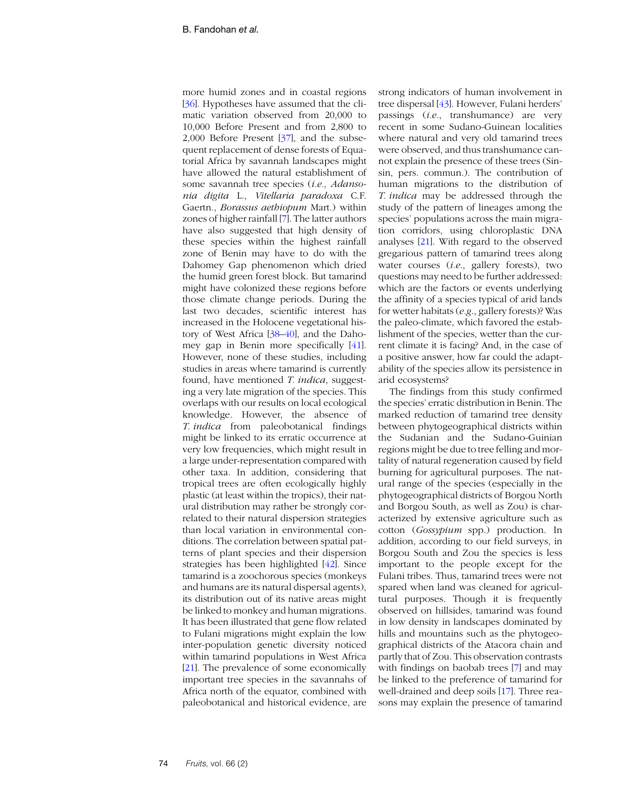more humid zones and in coastal regions [[36](#page-12-13)]. Hypotheses have assumed that the climatic variation observed from 20,000 to 10,000 Before Present and from 2,800 to 2,000 Before Present [\[37\]](#page-12-14), and the subsequent replacement of dense forests of Equatorial Africa by savannah landscapes might have allowed the natural establishment of some savannah tree species (*i.e., Adansonia digita* L., *Vitellaria paradoxa* C.F. Gaertn., *Borassus aethiopum* Mart.) within zones of higher rainfall [\[7](#page-11-6)]. The latter authors have also suggested that high density of these species within the highest rainfall zone of Benin may have to do with the Dahomey Gap phenomenon which dried the humid green forest block. But tamarind might have colonized these regions before those climate change periods. During the last two decades, scientific interest has increased in the Holocene vegetational history of West Africa [[38](#page-12-18)–[40](#page-12-19)], and the Dahomey gap in Benin more specifically [[41](#page-12-15)]. However, none of these studies, including studies in areas where tamarind is currently found, have mentioned *T. indica*, suggesting a very late migration of the species. This overlaps with our results on local ecological knowledge. However, the absence of *T. indica* from paleobotanical findings might be linked to its erratic occurrence at very low frequencies, which might result in a large under-representation compared with other taxa. In addition, considering that tropical trees are often ecologically highly plastic (at least within the tropics), their natural distribution may rather be strongly correlated to their natural dispersion strategies than local variation in environmental conditions. The correlation between spatial patterns of plant species and their dispersion strategies has been highlighted [\[42\]](#page-12-16). Since tamarind is a zoochorous species (monkeys and humans are its natural dispersal agents), its distribution out of its native areas might be linked to monkey and human migrations. It has been illustrated that gene flow related to Fulani migrations might explain the low inter-population genetic diversity noticed within tamarind populations in West Africa [[21](#page-11-20)]. The prevalence of some economically important tree species in the savannahs of Africa north of the equator, combined with paleobotanical and historical evidence, are

strong indicators of human involvement in tree dispersal [\[43](#page-12-17)]. However, Fulani herders' passings (*i.e*., transhumance) are very recent in some Sudano-Guinean localities where natural and very old tamarind trees were observed, and thus transhumance cannot explain the presence of these trees (Sinsin, pers. commun.). The contribution of human migrations to the distribution of *T. indica* may be addressed through the study of the pattern of lineages among the species' populations across the main migration corridors, using chloroplastic DNA analyses [\[21\]](#page-11-20). With regard to the observed gregarious pattern of tamarind trees along water courses (*i.e*., gallery forests), two questions may need to be further addressed: which are the factors or events underlying the affinity of a species typical of arid lands for wetter habitats (*e.g*., gallery forests)? Was the paleo-climate, which favored the establishment of the species, wetter than the current climate it is facing? And, in the case of a positive answer, how far could the adaptability of the species allow its persistence in arid ecosystems?

The findings from this study confirmed the species' erratic distribution in Benin. The marked reduction of tamarind tree density between phytogeographical districts within the Sudanian and the Sudano-Guinian regions might be due to tree felling and mortality of natural regeneration caused by field burning for agricultural purposes. The natural range of the species (especially in the phytogeographical districts of Borgou North and Borgou South, as well as Zou) is characterized by extensive agriculture such as cotton (*Gossypium* spp.) production. In addition, according to our field surveys, in Borgou South and Zou the species is less important to the people except for the Fulani tribes. Thus, tamarind trees were not spared when land was cleaned for agricultural purposes. Though it is frequently observed on hillsides, tamarind was found in low density in landscapes dominated by hills and mountains such as the phytogeographical districts of the Atacora chain and partly that of Zou. This observation contrasts with findings on baobab trees [\[7\]](#page-11-6) and may be linked to the preference of tamarind for well-drained and deep soils [[17](#page-11-16)]. Three reasons may explain the presence of tamarind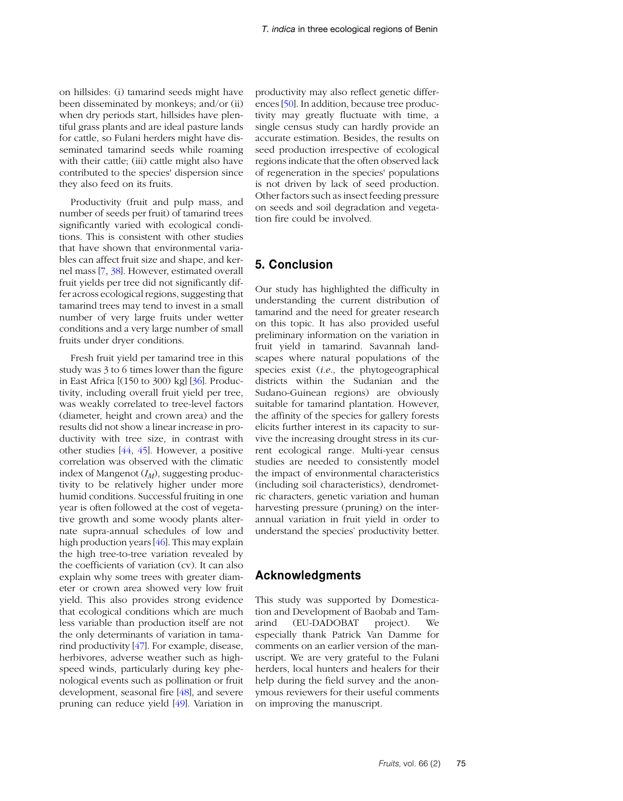on hillsides: (i) tamarind seeds might have been disseminated by monkeys; and/or (ii) when dry periods start, hillsides have plentiful grass plants and are ideal pasture lands for cattle, so Fulani herders might have disseminated tamarind seeds while roaming with their cattle; (iii) cattle might also have contributed to the species' dispersion since they also feed on its fruits.

Productivity (fruit and pulp mass, and number of seeds per fruit) of tamarind trees significantly varied with ecological conditions. This is consistent with other studies that have shown that environmental variables can affect fruit size and shape, and kernel mass [\[7,](#page-11-6) [38](#page-12-18)]. However, estimated overall fruit yields per tree did not significantly differ across ecological regions, suggesting that tamarind trees may tend to invest in a small number of very large fruits under wetter conditions and a very large number of small fruits under dryer conditions.

Fresh fruit yield per tamarind tree in this study was 3 to 6 times lower than the figure in East Africa [(150 to 300) kg] [[36](#page-12-13)]. Productivity, including overall fruit yield per tree, was weakly correlated to tree-level factors (diameter, height and crown area) and the results did not show a linear increase in productivity with tree size, in contrast with other studies [[44](#page-12-20), [45](#page-12-21)]. However, a positive correlation was observed with the climatic index of Mangenot  $(I_M)$ , suggesting productivity to be relatively higher under more humid conditions. Successful fruiting in one year is often followed at the cost of vegetative growth and some woody plants alternate supra-annual schedules of low and high production years [\[46\]](#page-13-0). This may explain the high tree-to-tree variation revealed by the coefficients of variation (cv). It can also explain why some trees with greater diameter or crown area showed very low fruit yield. This also provides strong evidence that ecological conditions which are much less variable than production itself are not the only determinants of variation in tamarind productivity [[47](#page-13-1)]. For example, disease, herbivores, adverse weather such as highspeed winds, particularly during key phenological events such as pollination or fruit development, seasonal fire [\[48\]](#page-13-2), and severe pruning can reduce yield [\[49\]](#page-13-3). Variation in

productivity may also reflect genetic differences [[50](#page-13-4)]. In addition, because tree productivity may greatly fluctuate with time, a single census study can hardly provide an accurate estimation. Besides, the results on seed production irrespective of ecological regions indicate that the often observed lack of regeneration in the species' populations is not driven by lack of seed production. Other factors such as insect feeding pressure on seeds and soil degradation and vegetation fire could be involved.

# **5. Conclusion**

Our study has highlighted the difficulty in understanding the current distribution of tamarind and the need for greater research on this topic. It has also provided useful preliminary information on the variation in fruit yield in tamarind. Savannah landscapes where natural populations of the species exist (*i.e*., the phytogeographical districts within the Sudanian and the Sudano-Guinean regions) are obviously suitable for tamarind plantation. However, the affinity of the species for gallery forests elicits further interest in its capacity to survive the increasing drought stress in its current ecological range. Multi-year census studies are needed to consistently model the impact of environmental characteristics (including soil characteristics), dendrometric characters, genetic variation and human harvesting pressure (pruning) on the interannual variation in fruit yield in order to understand the species' productivity better.

## **Acknowledgments**

This study was supported by Domestication and Development of Baobab and Tamarind (EU-DADOBAT project). We especially thank Patrick Van Damme for comments on an earlier version of the manuscript. We are very grateful to the Fulani herders, local hunters and healers for their help during the field survey and the anonymous reviewers for their useful comments on improving the manuscript.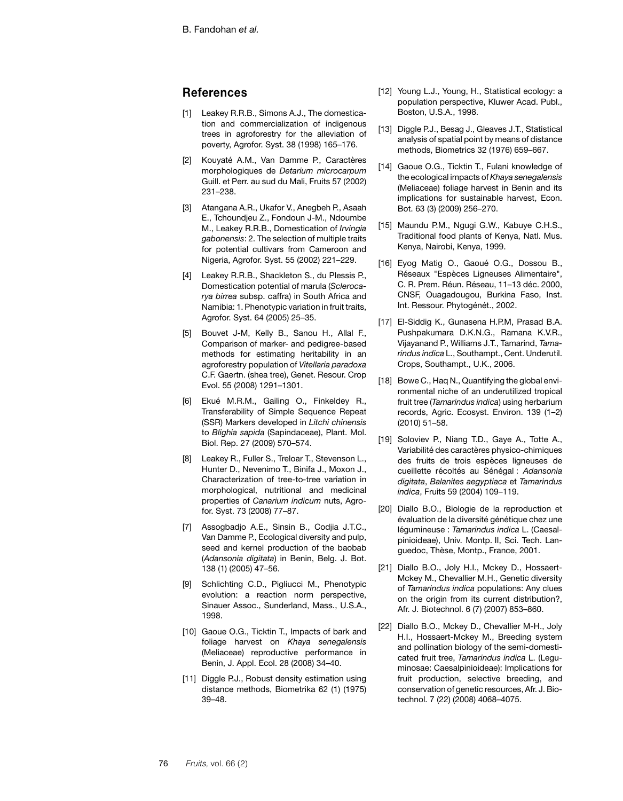# **References**

- <span id="page-11-0"></span>[1] Leakey R.R.B., Simons A.J., The domestication and commercialization of indigenous trees in agroforestry for the alleviation of poverty, Agrofor. Syst. 38 (1998) 165–176.
- <span id="page-11-1"></span>[2] Kouyaté A.M., Van Damme P., Caractères morphologiques de *Detarium microcarpum* Guill. et Perr. au sud du Mali, Fruits 57 (2002) 231–238.
- <span id="page-11-2"></span>[3] Atangana A.R., Ukafor V., Anegbeh P., Asaah E., Tchoundjeu Z., Fondoun J-M., Ndoumbe M., Leakey R.R.B., Domestication of *Irvingia gabonensis*: 2. The selection of multiple traits for potential cultivars from Cameroon and Nigeria, Agrofor. Syst. 55 (2002) 221–229.
- <span id="page-11-3"></span>[4] Leakey R.R.B., Shackleton S., du Plessis P., Domestication potential of marula (*Sclerocarya birrea* subsp. caffra) in South Africa and Namibia: 1. Phenotypic variation in fruit traits, Agrofor. Syst. 64 (2005) 25–35.
- <span id="page-11-4"></span>[5] Bouvet J-M, Kelly B., Sanou H., Allal F., Comparison of marker- and pedigree-based methods for estimating heritability in an agroforestry population of *Vitellaria paradoxa* C.F. Gaertn. (shea tree), Genet. Resour. Crop Evol. 55 (2008) 1291–1301.
- <span id="page-11-5"></span>[6] Ekué M.R.M., Gailing O., Finkeldey R., Transferability of Simple Sequence Repeat (SSR) Markers developed in *Litchi chinensis* to *Blighia sapida* (Sapindaceae), Plant. Mol. Biol. Rep. 27 (2009) 570–574.
- <span id="page-11-7"></span>[8] Leakey R., Fuller S., Treloar T., Stevenson L., Hunter D., Nevenimo T., Binifa J., Moxon J., Characterization of tree-to-tree variation in morphological, nutritional and medicinal properties of *Canarium indicum* nuts, Agrofor. Syst. 73 (2008) 77–87.
- <span id="page-11-6"></span>[7] Assogbadjo A.E., Sinsin B., Codjia J.T.C., Van Damme P., Ecological diversity and pulp, seed and kernel production of the baobab (*Adansonia digitata*) in Benin, Belg. J. Bot. 138 (1) (2005) 47–56.
- <span id="page-11-8"></span>[9] Schlichting C.D., Pigliucci M., Phenotypic evolution: a reaction norm perspective, Sinauer Assoc., Sunderland, Mass., U.S.A., 1998.
- <span id="page-11-9"></span>[10] Gaoue O.G., Ticktin T., Impacts of bark and foliage harvest on *Khaya senegalensis* (Meliaceae) reproductive performance in Benin, J. Appl. Ecol. 28 (2008) 34–40.
- <span id="page-11-10"></span>[11] Diggle P.J., Robust density estimation using distance methods, Biometrika 62 (1) (1975) 39–48.
- <span id="page-11-11"></span>[12] Young L.J., Young, H., Statistical ecology: a population perspective, Kluwer Acad. Publ., Boston, U.S.A., 1998.
- <span id="page-11-12"></span>[13] Diggle P.J., Besag J., Gleaves J.T., Statistical analysis of spatial point by means of distance methods, Biometrics 32 (1976) 659–667.
- <span id="page-11-13"></span>[14] Gaoue O.G., Ticktin T., Fulani knowledge of the ecological impacts of *Khaya senegalensis* (Meliaceae) foliage harvest in Benin and its implications for sustainable harvest, Econ. Bot. 63 (3) (2009) 256–270.
- <span id="page-11-14"></span>[15] Maundu P.M., Ngugi G.W., Kabuye C.H.S., Traditional food plants of Kenya, Natl. Mus. Kenya, Nairobi, Kenya, 1999.
- <span id="page-11-15"></span>[16] Eyog Matig O., Gaoué O.G., Dossou B., Réseaux "Espèces Ligneuses Alimentaire", C. R. Prem. Réun. Réseau, 11–13 déc. 2000, CNSF, Ouagadougou, Burkina Faso, Inst. Int. Ressour. Phytogénét., 2002.
- <span id="page-11-16"></span>[17] El-Siddig K., Gunasena H.P.M, Prasad B.A. Pushpakumara D.K.N.G., Ramana K.V.R., Vijayanand P., Williams J.T., Tamarind, *Tamarindus indica* L., Southampt., Cent. Underutil. Crops, Southampt., U.K., 2006.
- <span id="page-11-17"></span>[18] Bowe C., Haq N., Quantifying the global environmental niche of an underutilized tropical fruit tree (*Tamarindus indica*) using herbarium records, Agric. Ecosyst. Environ. 139 (1–2) (2010) 51–58.
- <span id="page-11-18"></span>[19] Soloviev P., Niang T.D., Gaye A., Totte A., Variabilité des caractères physico-chimiques des fruits de trois espèces ligneuses de cueillette récoltés au Sénégal : *Adansonia digitata*, *Balanites aegyptiaca* et *Tamarindus indica*, Fruits 59 (2004) 109–119.
- <span id="page-11-19"></span>[20] Diallo B.O., Biologie de la reproduction et évaluation de la diversité génétique chez une légumineuse : *Tamarindus indica* L. (Caesalpinioideae), Univ. Montp. II, Sci. Tech. Languedoc, Thèse, Montp., France, 2001.
- <span id="page-11-20"></span>[21] Diallo B.O., Joly H.I., Mckey D., Hossaert-Mckey M., Chevallier M.H., Genetic diversity of *Tamarindus indica* populations: Any clues on the origin from its current distribution?, Afr. J. Biotechnol. 6 (7) (2007) 853–860.
- <span id="page-11-21"></span>[22] Diallo B.O., Mckey D., Chevallier M-H., Joly H.I., Hossaert-Mckey M., Breeding system and pollination biology of the semi-domesticated fruit tree, *Tamarindus indica* L. (Leguminosae: Caesalpinioideae): Implications for fruit production, selective breeding, and conservation of genetic resources, Afr. J. Biotechnol. 7 (22) (2008) 4068–4075.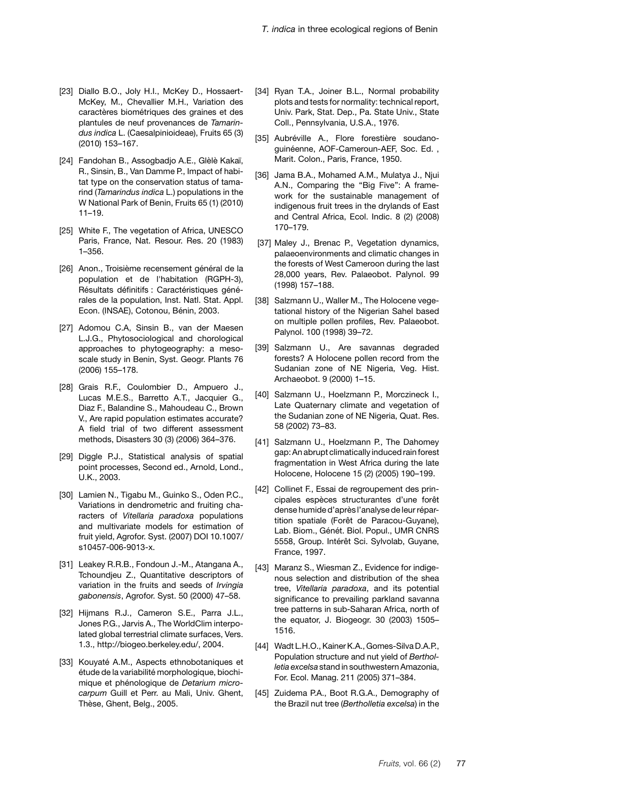- <span id="page-12-0"></span>[23] Diallo B.O., Joly H.I., McKey D., Hossaert-McKey, M., Chevallier M.H., Variation des caractères biométriques des graines et des plantules de neuf provenances de *Tamarindus indica* L. (Caesalpinioideae), Fruits 65 (3) (2010) 153–167.
- <span id="page-12-1"></span>[24] Fandohan B., Assogbadjo A.E., Glèlè Kakaï, R., Sinsin, B., Van Damme P., Impact of habitat type on the conservation status of tamarind (*Tamarindus indica* L.) populations in the W National Park of Benin, Fruits 65 (1) (2010) 11–19.
- <span id="page-12-2"></span>[25] White F., The vegetation of Africa, UNESCO Paris, France, Nat. Resour. Res. 20 (1983) 1–356.
- <span id="page-12-3"></span>[26] Anon., Troisième recensement général de la population et de l'habitation (RGPH-3), Résultats définitifs : Caractéristiques générales de la population, Inst. Natl. Stat. Appl. Econ. (INSAE), Cotonou, Bénin, 2003.
- <span id="page-12-4"></span>[27] Adomou C.A, Sinsin B., van der Maesen L.J.G., Phytosociological and chorological approaches to phytogeography: a mesoscale study in Benin, Syst. Geogr. Plants 76 (2006) 155–178.
- <span id="page-12-5"></span>[28] Grais R.F., Coulombier D., Ampuero J., Lucas M.E.S., Barretto A.T., Jacquier G., Diaz F., Balandine S., Mahoudeau C., Brown V., Are rapid population estimates accurate? A field trial of two different assessment methods, Disasters 30 (3) (2006) 364–376.
- <span id="page-12-6"></span>[29] Diggle P.J., Statistical analysis of spatial point processes, Second ed., Arnold, Lond., U.K., 2003.
- <span id="page-12-9"></span>[30] Lamien N., Tigabu M., Guinko S., Oden P.C., Variations in dendrometric and fruiting characters of *Vitellaria paradoxa* populations and multivariate models for estimation of fruit yield, Agrofor. Syst. (2007) DOI 10.1007/ s10457-006-9013-x.
- <span id="page-12-7"></span>[31] Leakey R.R.B., Fondoun J.-M., Atangana A., Tchoundjeu Z., Quantitative descriptors of variation in the fruits and seeds of *Irvingia gabonensis*, Agrofor. Syst. 50 (2000) 47–58.
- <span id="page-12-10"></span>[32] Hijmans R.J., Cameron S.E., Parra J.L., Jones P.G., Jarvis A., The WorldClim interpolated global terrestrial climate surfaces, Vers. 1.3., http://biogeo.berkeley.edu/, 2004.
- <span id="page-12-11"></span>[33] Kouyaté A.M., Aspects ethnobotaniques et étude de la variabilité morphologique, biochimique et phénologique de *Detarium microcarpum* Guill et Perr. au Mali, Univ. Ghent, Thèse, Ghent, Belg., 2005.
- <span id="page-12-8"></span>[34] Ryan T.A., Joiner B.L., Normal probability plots and tests for normality: technical report, Univ. Park, Stat. Dep., Pa. State Univ., State Coll., Pennsylvania, U.S.A., 1976.
- <span id="page-12-12"></span>[35] Aubréville A., Flore forestière soudanoguinéenne, AOF-Cameroun-AEF, Soc. Ed. , Marit. Colon., Paris, France, 1950.
- <span id="page-12-13"></span>[36] Jama B.A., Mohamed A.M., Mulatya J., Njui A.N., Comparing the "Big Five": A framework for the sustainable management of indigenous fruit trees in the drylands of East and Central Africa, Ecol. Indic. 8 (2) (2008) 170–179.
- <span id="page-12-14"></span>[37] Maley J., Brenac P., Vegetation dynamics, palaeoenvironments and climatic changes in the forests of West Cameroon during the last 28,000 years, Rev. Palaeobot. Palynol. 99 (1998) 157–188.
- <span id="page-12-18"></span>[38] Salzmann U., Waller M., The Holocene vegetational history of the Nigerian Sahel based on multiple pollen profiles, Rev. Palaeobot. Palynol. 100 (1998) 39–72.
- [39] Salzmann U., Are savannas degraded forests? A Holocene pollen record from the Sudanian zone of NE Nigeria, Veg. Hist. Archaeobot. 9 (2000) 1–15.
- <span id="page-12-19"></span>[40] Salzmann U., Hoelzmann P., Morczineck I., Late Quaternary climate and vegetation of the Sudanian zone of NE Nigeria, Quat. Res. 58 (2002) 73–83.
- <span id="page-12-15"></span>[41] Salzmann U., Hoelzmann P., The Dahomey gap: An abrupt climatically induced rain forest fragmentation in West Africa during the late Holocene, Holocene 15 (2) (2005) 190–199.
- <span id="page-12-16"></span>[42] Collinet F., Essai de regroupement des principales espèces structurantes d'une forêt dense humide d'après l'analyse de leur répartition spatiale (Forêt de Paracou-Guyane), Lab. Biom., Génét. Biol. Popul., UMR CNRS 5558, Group. Intérêt Sci. Sylvolab, Guyane, France, 1997.
- <span id="page-12-17"></span>[43] Maranz S., Wiesman Z., Evidence for indigenous selection and distribution of the shea tree, *Vitellaria paradoxa*, and its potential significance to prevailing parkland savanna tree patterns in sub-Saharan Africa, north of the equator, J. Biogeogr. 30 (2003) 1505– 1516.
- <span id="page-12-20"></span>[44] Wadt L.H.O., Kainer K.A., Gomes-Silva D.A.P., Population structure and nut yield of *Bertholletia excelsa* stand in southwestern Amazonia, For. Ecol. Manag. 211 (2005) 371–384.
- <span id="page-12-21"></span>[45] Zuidema P.A., Boot R.G.A., Demography of the Brazil nut tree (*Bertholletia excelsa*) in the